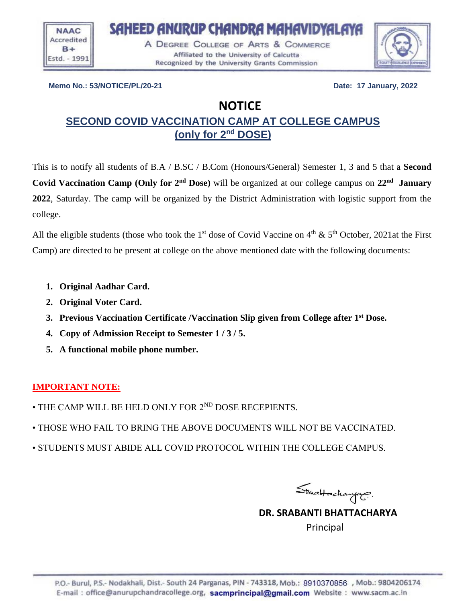

A DEGREE COLLEGE OF ARTS & COMMERCE Affiliated to the University of Calcutta Recognized by the University Grants Commission

SAHEED ANURUP CHANDRA MAHAVIDYALAYA



**Memo No.: 53/NOTICE/PL/20-21 Date: 17 January, 2022** 

# **NOTICE**

# **SECOND COVID VACCINATION CAMP AT COLLEGE CAMPUS (only for 2nd DOSE)**

This is to notify all students of B.A / B.SC / B.Com (Honours/General) Semester 1, 3 and 5 that a **Second Covid Vaccination Camp** (Only for 2<sup>nd</sup> Dose) will be organized at our college campus on 22<sup>nd</sup> January **2022**, Saturday. The camp will be organized by the District Administration with logistic support from the college.

All the eligible students (those who took the 1<sup>st</sup> dose of Covid Vaccine on  $4<sup>th</sup> \& 5<sup>th</sup>$  October, 2021at the First Camp) are directed to be present at college on the above mentioned date with the following documents:

- **1. Original Aadhar Card.**
- **2. Original Voter Card.**
- **3. Previous Vaccination Certificate /Vaccination Slip given from College after 1st Dose.**
- **4. Copy of Admission Receipt to Semester 1 / 3 / 5.**
- **5. A functional mobile phone number.**

## **IMPORTANT NOTE:**

- THE CAMP WILL BE HELD ONLY FOR 2<sup>ND</sup> DOSE RECEPIENTS.
- THOSE WHO FAIL TO BRING THE ABOVE DOCUMENTS WILL NOT BE VACCINATED.
- STUDENTS MUST ABIDE ALL COVID PROTOCOL WITHIN THE COLLEGE CAMPUS.

Strattachanger.

 **DR. SRABANTI BHATTACHARYA**  Principal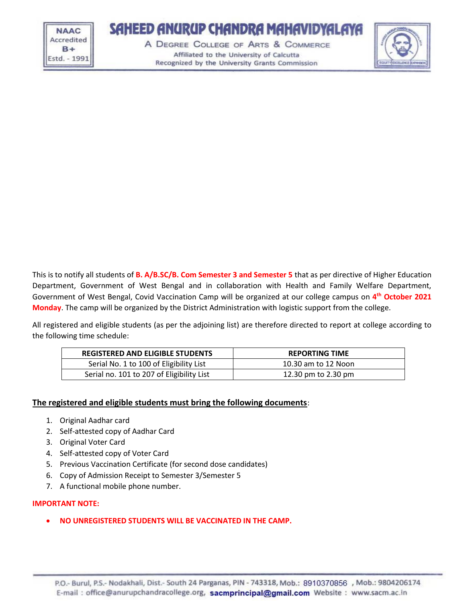**NAAC** Accredited  $B +$ Estd. - 1991

# SAHEED ANURUP CHANDRA MAHAVIDYALAYA

A DEGREE COLLEGE OF ARTS & COMMERCE Affiliated to the University of Calcutta Recognized by the University Grants Commission



This is to notify all students of **B. A/B.SC/B. Com Semester 3 and Semester 5** that as per directive of Higher Education Department, Government of West Bengal and in collaboration with Health and Family Welfare Department, Government of West Bengal, Covid Vaccination Camp will be organized at our college campus on **4 th October 2021 Monday**. The camp will be organized by the District Administration with logistic support from the college.

All registered and eligible students (as per the adjoining list) are therefore directed to report at college according to the following time schedule:

| <b>REGISTERED AND ELIGIBLE STUDENTS</b>   | <b>REPORTING TIME</b> |
|-------------------------------------------|-----------------------|
| Serial No. 1 to 100 of Eligibility List   | 10.30 am to 12 Noon   |
| Serial no. 101 to 207 of Eligibility List | 12.30 pm to 2.30 pm   |

#### **The registered and eligible students must bring the following documents**:

- 1. Original Aadhar card
- 2. Self-attested copy of Aadhar Card
- 3. Original Voter Card
- 4. Self-attested copy of Voter Card
- 5. Previous Vaccination Certificate (for second dose candidates)
- 6. Copy of Admission Receipt to Semester 3/Semester 5
- 7. A functional mobile phone number.

#### **IMPORTANT NOTE:**

• **NO UNREGISTERED STUDENTS WILL BE VACCINATED IN THE CAMP.**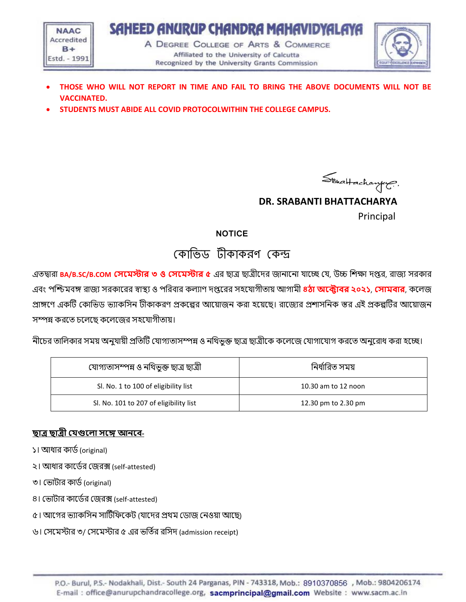

- **THOSE WHO WILL NOT REPORT IN TIME AND FAIL TO BRING THE ABOVE DOCUMENTS WILL NOT BE VACCINATED.**
- **STUDENTS MUST ABIDE ALL COVID PROTOCOLWITHIN THE COLLEGE CAMPUS.**



 **DR. SRABANTI BHATTACHARYA**  Principal

## **NOTICE**

# ককোভিড টীকোকরণ ককন্দ্র

এতদ্বারা **BA/B.SC/B.COM সেমেস্টার ৩ ও সেমেস্টার ৫** এর ছাত্র ছাত্রীদের জানাদনা যাদে যয, উচ্চ শিক্ষা েপ্তর, রাজয সরকার এবং পশ্চিমবঙ্গ রাজয সরকাদরর স্বাস্থ্য ও পশরবার কল্যাণ েপ্তদরর সহদযাগীতায় আগামী **৪ঠা অমটাবর ২০২১**, **সোেবার**, কদল্জ প্রাঙ্গণে একটি কোভিড ভ্যাকসিন টীকাকরণ প্রকল্পের আয়োজন করা হয়েছে। রাজ্যের প্রশাসনিক স্তর এই প্রকল্পটির আয়োজন সম্পন্ন করদত চদল্দছ কদল্দজর সহদযাগীতায়।

নীদচর তাশল্কার সময় অনুযায়ী প্রশতটি যযাগযতাসম্পন্ন ও নশিিুক্ত ছাত্র ছাত্রীদক কদল্দজ যযাগাদযাগ করদত অনুদরাধ করা হদে।

| যোগ্যতাসম্পন্ন ও নথিভূক্ত ছাত্ৰ ছাত্ৰী | নিৰ্ধাৱিত সময়      |
|----------------------------------------|---------------------|
| Sl. No. 1 to 100 of eligibility list   | 10.30 am to 12 noon |
| Sl. No. 101 to 207 of eligibility list | 12.30 pm to 2.30 pm |

## **ছাত্র ছাত্রী সেগুম া েমে আনমব-**

- ১। আধার কার্ড (original)
- ২। আধার কাদডধর যজরক্স (self-attested)
- ৩। ভোটার কার্ড (original)
- ৪। ভোটার কার্ডের জেরক্স (self-attested)
- ৫। আগের ভ্যাকসিন সার্টিফিকেট (যাদের প্রথম ডোজ নেওয়া আছে)
- ৬। সেমেস্টার ৩/ সেমেস্টার ৫ এর ভর্তির রসিদ (admission receipt)